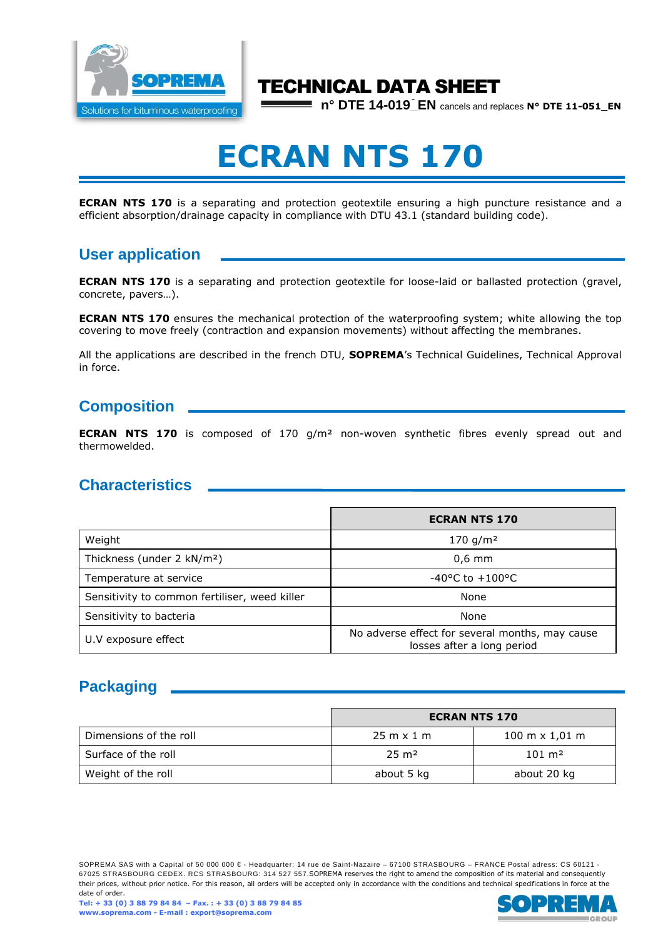

## TECHNICAL DATA SHEET

**n° DTE 14-019** EN cancels and replaces **N° DTE 11-051\_EN** 

# **ECRAN NTS 170**

**ECRAN NTS 170** is a separating and protection geotextile ensuring a high puncture resistance and a efficient absorption/drainage capacity in compliance with DTU 43.1 (standard building code).

### **User application**

**ECRAN NTS 170** is a separating and protection geotextile for loose-laid or ballasted protection (gravel, concrete, pavers…).

**ECRAN NTS 170** ensures the mechanical protection of the waterproofing system; white allowing the top covering to move freely (contraction and expansion movements) without affecting the membranes.

All the applications are described in the french DTU, **SOPREMA**'s Technical Guidelines, Technical Approval in force.

### **Composition**

**ECRAN NTS 170** is composed of 170 g/m² non-woven synthetic fibres evenly spread out and thermowelded.

### **Characteristics**

|                                               | <b>ECRAN NTS 170</b>                                                          |  |
|-----------------------------------------------|-------------------------------------------------------------------------------|--|
| Weight                                        | 170 g/m <sup>2</sup>                                                          |  |
| Thickness (under 2 kN/m <sup>2</sup> )        | $0.6$ mm                                                                      |  |
| Temperature at service                        | $-40^{\circ}$ C to $+100^{\circ}$ C                                           |  |
| Sensitivity to common fertiliser, weed killer | None                                                                          |  |
| Sensitivity to bacteria                       | None                                                                          |  |
| U.V exposure effect                           | No adverse effect for several months, may cause<br>losses after a long period |  |

### **Packaging**

|                        | <b>ECRAN NTS 170</b>              |                                       |
|------------------------|-----------------------------------|---------------------------------------|
| Dimensions of the roll | $25 \text{ m} \times 1 \text{ m}$ | $100 \text{ m} \times 1.01 \text{ m}$ |
| Surface of the roll    | $25 \text{ m}^2$                  | $101 \; \mathrm{m}^2$                 |
| Weight of the roll     | about 5 kg                        | about 20 kg                           |

SOPREMA SAS with a Capital of 50 000 000 € - Headquarter: 14 rue de Saint-Nazaire – 67100 STRASBOURG – FRANCE Postal adress: CS 60121 -67025 STRASBOURG CEDEX. RCS STRASBOURG: 314 527 557.SOPREMA reserves the right to amend the composition of its material and consequently their prices, without prior notice. For this reason, all orders will be accepted only in accordance with the conditions and technical specifications in force at the date of order.